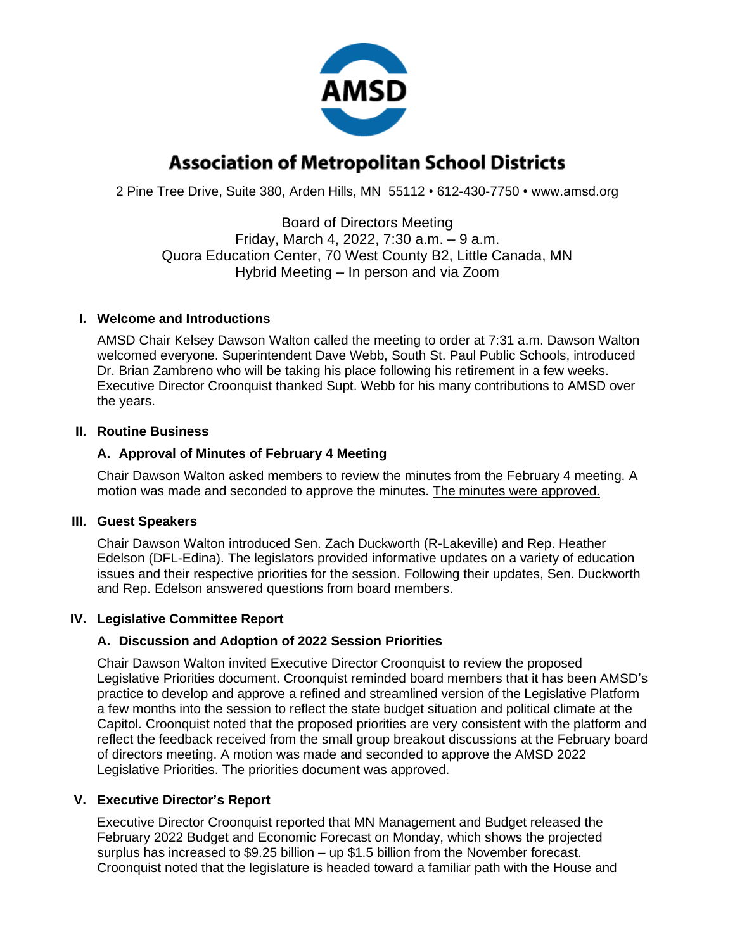

# **Association of Metropolitan School Districts**

2 Pine Tree Drive, Suite 380, Arden Hills, MN 55112 • 612-430-7750 • www.amsd.org

Board of Directors Meeting Friday, March 4, 2022, 7:30 a.m. – 9 a.m. Quora Education Center, 70 West County B2, Little Canada, MN Hybrid Meeting – In person and via Zoom

#### **I. Welcome and Introductions**

AMSD Chair Kelsey Dawson Walton called the meeting to order at 7:31 a.m. Dawson Walton welcomed everyone. Superintendent Dave Webb, South St. Paul Public Schools, introduced Dr. Brian Zambreno who will be taking his place following his retirement in a few weeks. Executive Director Croonquist thanked Supt. Webb for his many contributions to AMSD over the years.

#### **II. Routine Business**

## **A. Approval of Minutes of February 4 Meeting**

Chair Dawson Walton asked members to review the minutes from the February 4 meeting. A motion was made and seconded to approve the minutes. The minutes were approved.

## **III. Guest Speakers**

Chair Dawson Walton introduced Sen. Zach Duckworth (R-Lakeville) and Rep. Heather Edelson (DFL-Edina). The legislators provided informative updates on a variety of education issues and their respective priorities for the session. Following their updates, Sen. Duckworth and Rep. Edelson answered questions from board members.

## **IV. Legislative Committee Report**

## **A. Discussion and Adoption of 2022 Session Priorities**

Chair Dawson Walton invited Executive Director Croonquist to review the proposed Legislative Priorities document. Croonquist reminded board members that it has been AMSD's practice to develop and approve a refined and streamlined version of the Legislative Platform a few months into the session to reflect the state budget situation and political climate at the Capitol. Croonquist noted that the proposed priorities are very consistent with the platform and reflect the feedback received from the small group breakout discussions at the February board of directors meeting. A motion was made and seconded to approve the AMSD 2022 Legislative Priorities. The priorities document was approved.

## **V. Executive Director's Report**

Executive Director Croonquist reported that MN Management and Budget released the February 2022 Budget and Economic Forecast on Monday, which shows the projected surplus has increased to \$9.25 billion – up \$1.5 billion from the November forecast. Croonquist noted that the legislature is headed toward a familiar path with the House and